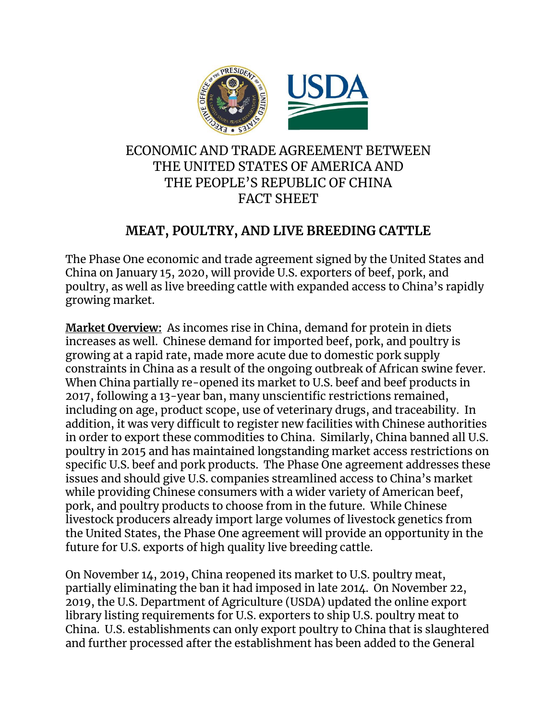

## ECONOMIC AND TRADE AGREEMENT BETWEEN THE UNITED STATES OF AMERICA AND THE PEOPLE'S REPUBLIC OF CHINA FACT SHEET

# **MEAT, POULTRY, AND LIVE BREEDING CATTLE**

The Phase One economic and trade agreement signed by the United States and China on January 15, 2020, will provide U.S. exporters of beef, pork, and poultry, as well as live breeding cattle with expanded access to China's rapidly growing market.

**Market Overview:** As incomes rise in China, demand for protein in diets increases as well. Chinese demand for imported beef, pork, and poultry is growing at a rapid rate, made more acute due to domestic pork supply constraints in China as a result of the ongoing outbreak of African swine fever. When China partially re-opened its market to U.S. beef and beef products in 2017, following a 13-year ban, many unscientific restrictions remained, including on age, product scope, use of veterinary drugs, and traceability. In addition, it was very difficult to register new facilities with Chinese authorities in order to export these commodities to China. Similarly, China banned all U.S. poultry in 2015 and has maintained longstanding market access restrictions on specific U.S. beef and pork products. The Phase One agreement addresses these issues and should give U.S. companies streamlined access to China's market while providing Chinese consumers with a wider variety of American beef, pork, and poultry products to choose from in the future. While Chinese livestock producers already import large volumes of livestock genetics from the United States, the Phase One agreement will provide an opportunity in the future for U.S. exports of high quality live breeding cattle.

On November 14, 2019, China reopened its market to U.S. poultry meat, partially eliminating the ban it had imposed in late 2014. On November 22, 2019, the U.S. Department of Agriculture (USDA) updated the online export library listing requirements for U.S. exporters to ship U.S. poultry meat to China. U.S. establishments can only export poultry to China that is slaughtered and further processed after the establishment has been added to the General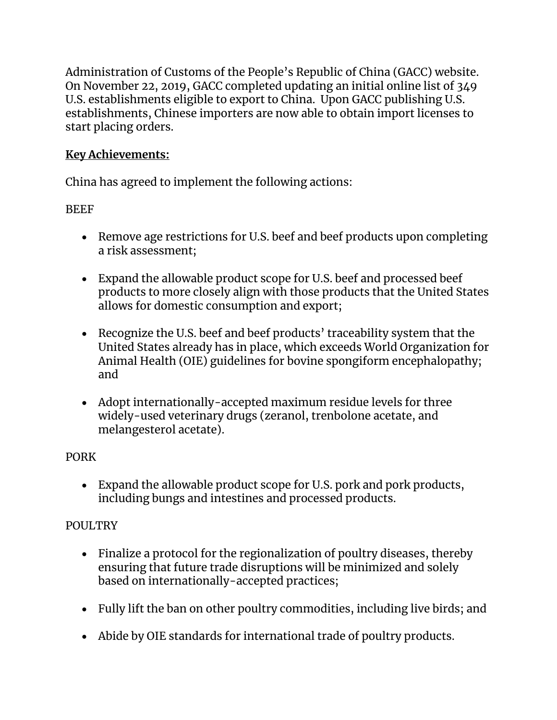Administration of Customs of the People's Republic of China (GACC) website. On November 22, 2019, GACC completed updating an initial online list of 349 U.S. establishments eligible to export to China. Upon GACC publishing U.S. establishments, Chinese importers are now able to obtain import licenses to start placing orders.

### **Key Achievements:**

China has agreed to implement the following actions:

#### **BEEF**

- Remove age restrictions for U.S. beef and beef products upon completing a risk assessment;
- Expand the allowable product scope for U.S. beef and processed beef products to more closely align with those products that the United States allows for domestic consumption and export;
- Recognize the U.S. beef and beef products' traceability system that the United States already has in place, which exceeds World Organization for Animal Health (OIE) guidelines for bovine spongiform encephalopathy; and
- Adopt internationally-accepted maximum residue levels for three widely-used veterinary drugs (zeranol, trenbolone acetate, and melangesterol acetate).

### PORK

 Expand the allowable product scope for U.S. pork and pork products, including bungs and intestines and processed products.

### POULTRY

- Finalize a protocol for the regionalization of poultry diseases, thereby ensuring that future trade disruptions will be minimized and solely based on internationally-accepted practices;
- Fully lift the ban on other poultry commodities, including live birds; and
- Abide by OIE standards for international trade of poultry products.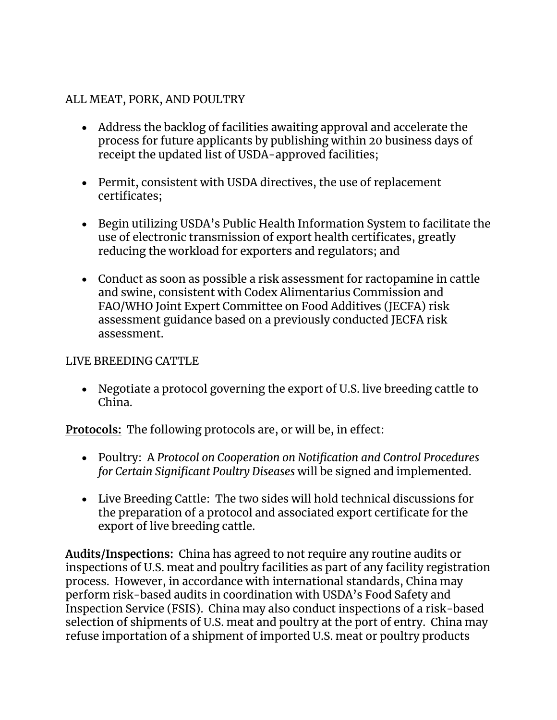#### ALL MEAT, PORK, AND POULTRY

- Address the backlog of facilities awaiting approval and accelerate the process for future applicants by publishing within 20 business days of receipt the updated list of USDA-approved facilities;
- Permit, consistent with USDA directives, the use of replacement certificates;
- Begin utilizing USDA's Public Health Information System to facilitate the use of electronic transmission of export health certificates, greatly reducing the workload for exporters and regulators; and
- Conduct as soon as possible a risk assessment for ractopamine in cattle and swine, consistent with Codex Alimentarius Commission and FAO/WHO Joint Expert Committee on Food Additives (JECFA) risk assessment guidance based on a previously conducted JECFA risk assessment.

#### LIVE BREEDING CATTLE

 Negotiate a protocol governing the export of U.S. live breeding cattle to China.

**Protocols:** The following protocols are, or will be, in effect:

- Poultry: A *Protocol on Cooperation on Notification and Control Procedures for Certain Significant Poultry Diseases* will be signed and implemented.
- Live Breeding Cattle: The two sides will hold technical discussions for the preparation of a protocol and associated export certificate for the export of live breeding cattle.

**Audits/Inspections:** China has agreed to not require any routine audits or inspections of U.S. meat and poultry facilities as part of any facility registration process. However, in accordance with international standards, China may perform risk-based audits in coordination with USDA's Food Safety and Inspection Service (FSIS). China may also conduct inspections of a risk-based selection of shipments of U.S. meat and poultry at the port of entry. China may refuse importation of a shipment of imported U.S. meat or poultry products